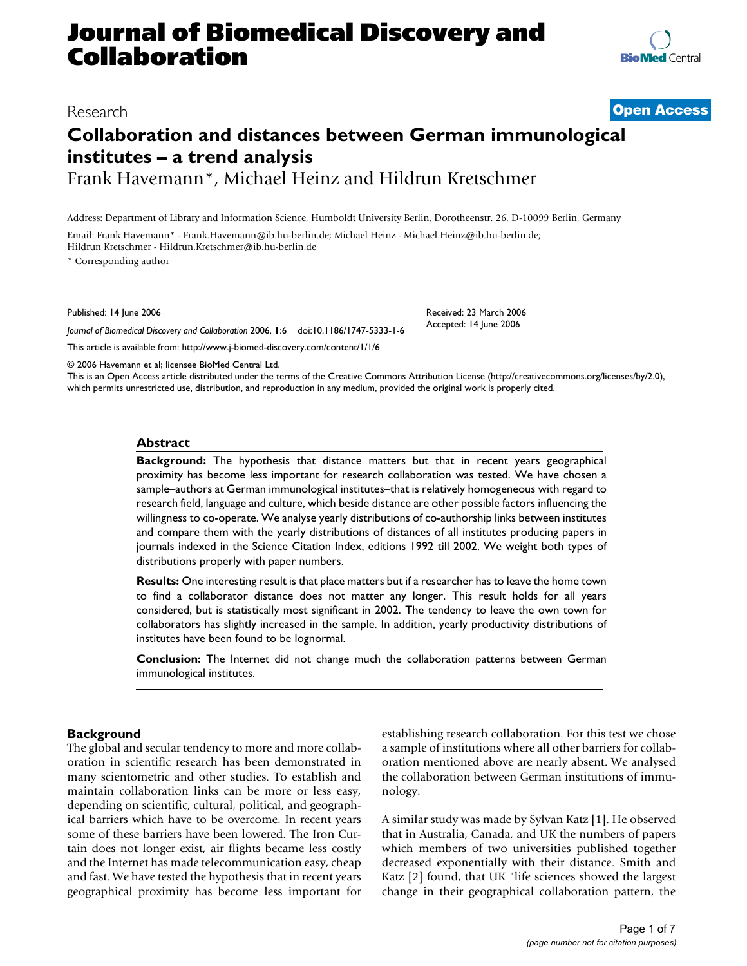## **Journal of Biomedical Discovery and Collaboration**

### Research **[Open Access](http://www.biomedcentral.com/info/about/charter/)**

### **Collaboration and distances between German immunological institutes – a trend analysis** Frank Havemann\*, Michael Heinz and Hildrun Kretschmer

Address: Department of Library and Information Science, Humboldt University Berlin, Dorotheenstr. 26, D-10099 Berlin, Germany

Email: Frank Havemann\* - Frank.Havemann@ib.hu-berlin.de; Michael Heinz - Michael.Heinz@ib.hu-berlin.de; Hildrun Kretschmer - Hildrun.Kretschmer@ib.hu-berlin.de

\* Corresponding author

Published: 14 June 2006

*Journal of Biomedical Discovery and Collaboration* 2006, **1**:6 doi:10.1186/1747-5333-1-6

[This article is available from: http://www.j-biomed-discovery.com/content/1/1/6](http://www.j-biomed-discovery.com/content/1/1/6)

© 2006 Havemann et al; licensee BioMed Central Ltd.

This is an Open Access article distributed under the terms of the Creative Commons Attribution License [\(http://creativecommons.org/licenses/by/2.0\)](http://creativecommons.org/licenses/by/2.0), which permits unrestricted use, distribution, and reproduction in any medium, provided the original work is properly cited.

#### **Abstract**

**Background:** The hypothesis that distance matters but that in recent years geographical proximity has become less important for research collaboration was tested. We have chosen a sample–authors at German immunological institutes–that is relatively homogeneous with regard to research field, language and culture, which beside distance are other possible factors influencing the willingness to co-operate. We analyse yearly distributions of co-authorship links between institutes and compare them with the yearly distributions of distances of all institutes producing papers in journals indexed in the Science Citation Index, editions 1992 till 2002. We weight both types of distributions properly with paper numbers.

**Results:** One interesting result is that place matters but if a researcher has to leave the home town to find a collaborator distance does not matter any longer. This result holds for all years considered, but is statistically most significant in 2002. The tendency to leave the own town for collaborators has slightly increased in the sample. In addition, yearly productivity distributions of institutes have been found to be lognormal.

**Conclusion:** The Internet did not change much the collaboration patterns between German immunological institutes.

#### **Background**

The global and secular tendency to more and more collaboration in scientific research has been demonstrated in many scientometric and other studies. To establish and maintain collaboration links can be more or less easy, depending on scientific, cultural, political, and geographical barriers which have to be overcome. In recent years some of these barriers have been lowered. The Iron Curtain does not longer exist, air flights became less costly and the Internet has made telecommunication easy, cheap and fast. We have tested the hypothesis that in recent years geographical proximity has become less important for establishing research collaboration. For this test we chose a sample of institutions where all other barriers for collaboration mentioned above are nearly absent. We analysed the collaboration between German institutions of immunology.

A similar study was made by Sylvan Katz [1]. He observed that in Australia, Canada, and UK the numbers of papers which members of two universities published together decreased exponentially with their distance. Smith and Katz [2] found, that UK "life sciences showed the largest change in their geographical collaboration pattern, the



Received: 23 March 2006

Accepted: 14 June 2006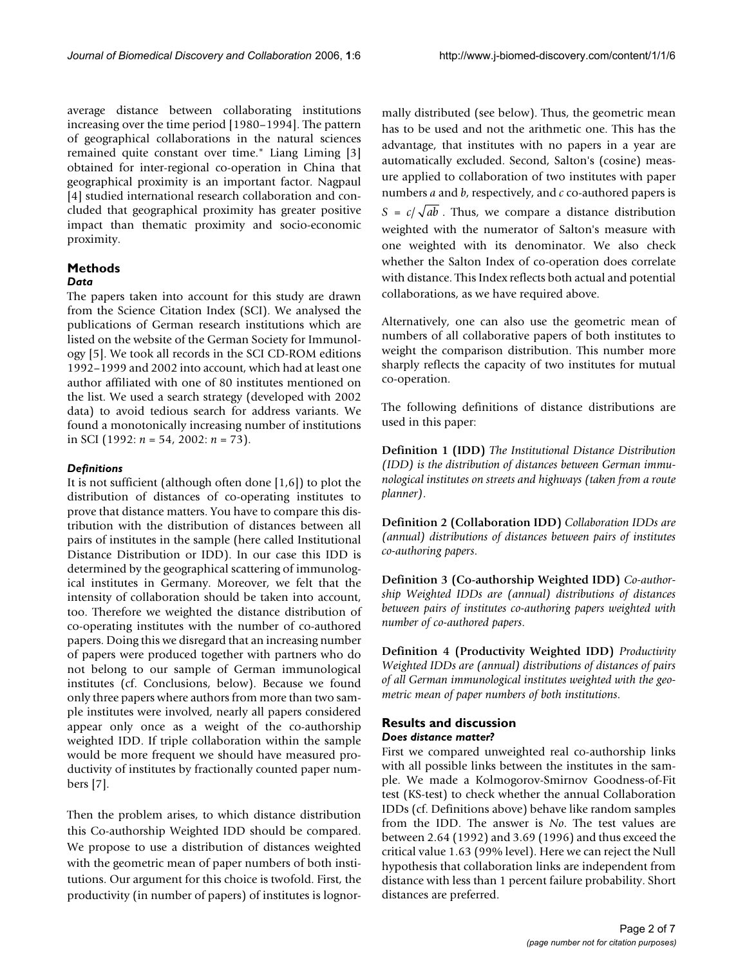average distance between collaborating institutions increasing over the time period [1980–1994]. The pattern of geographical collaborations in the natural sciences remained quite constant over time." Liang Liming [3] obtained for inter-regional co-operation in China that geographical proximity is an important factor. Nagpaul [4] studied international research collaboration and concluded that geographical proximity has greater positive impact than thematic proximity and socio-economic proximity.

#### **Methods**

#### *Data*

The papers taken into account for this study are drawn from the Science Citation Index (SCI). We analysed the publications of German research institutions which are listed on the website of the German Society for Immunology [5]. We took all records in the SCI CD-ROM editions 1992–1999 and 2002 into account, which had at least one author affiliated with one of 80 institutes mentioned on the list. We used a search strategy (developed with 2002 data) to avoid tedious search for address variants. We found a monotonically increasing number of institutions in SCI (1992: *n* = 54, 2002: *n* = 73).

#### *Definitions*

It is not sufficient (although often done [1,6]) to plot the distribution of distances of co-operating institutes to prove that distance matters. You have to compare this distribution with the distribution of distances between all pairs of institutes in the sample (here called Institutional Distance Distribution or IDD). In our case this IDD is determined by the geographical scattering of immunological institutes in Germany. Moreover, we felt that the intensity of collaboration should be taken into account, too. Therefore we weighted the distance distribution of co-operating institutes with the number of co-authored papers. Doing this we disregard that an increasing number of papers were produced together with partners who do not belong to our sample of German immunological institutes (cf. Conclusions, below). Because we found only three papers where authors from more than two sample institutes were involved, nearly all papers considered appear only once as a weight of the co-authorship weighted IDD. If triple collaboration within the sample would be more frequent we should have measured productivity of institutes by fractionally counted paper numbers [7].

Then the problem arises, to which distance distribution this Co-authorship Weighted IDD should be compared. We propose to use a distribution of distances weighted with the geometric mean of paper numbers of both institutions. Our argument for this choice is twofold. First, the productivity (in number of papers) of institutes is lognormally distributed (see below). Thus, the geometric mean has to be used and not the arithmetic one. This has the advantage, that institutes with no papers in a year are automatically excluded. Second, Salton's (cosine) measure applied to collaboration of two institutes with paper numbers *a* and *b*, respectively, and *c* co-authored papers is  $S = c / \sqrt{ab}$ . Thus, we compare a distance distribution weighted with the numerator of Salton's measure with one weighted with its denominator. We also check whether the Salton Index of co-operation does correlate with distance. This Index reflects both actual and potential collaborations, as we have required above.

Alternatively, one can also use the geometric mean of numbers of all collaborative papers of both institutes to weight the comparison distribution. This number more sharply reflects the capacity of two institutes for mutual co-operation.

The following definitions of distance distributions are used in this paper:

**Definition 1 (IDD)** *The Institutional Distance Distribution (IDD) is the distribution of distances between German immunological institutes on streets and highways (taken from a route planner)*.

**Definition 2 (Collaboration IDD)** *Collaboration IDDs are (annual) distributions of distances between pairs of institutes co-authoring papers*.

**Definition 3 (Co-authorship Weighted IDD)** *Co-authorship Weighted IDDs are (annual) distributions of distances between pairs of institutes co-authoring papers weighted with number of co-authored papers*.

**Definition 4 (Productivity Weighted IDD)** *Productivity Weighted IDDs are (annual) distributions of distances of pairs of all German immunological institutes weighted with the geometric mean of paper numbers of both institutions*.

#### **Results and discussion** *Does distance matter?*

First we compared unweighted real co-authorship links with all possible links between the institutes in the sample. We made a Kolmogorov-Smirnov Goodness-of-Fit test (KS-test) to check whether the annual Collaboration IDDs (cf. Definitions above) behave like random samples from the IDD. The answer is *No*. The test values are between 2.64 (1992) and 3.69 (1996) and thus exceed the critical value 1.63 (99% level). Here we can reject the Null hypothesis that collaboration links are independent from distance with less than 1 percent failure probability. Short distances are preferred.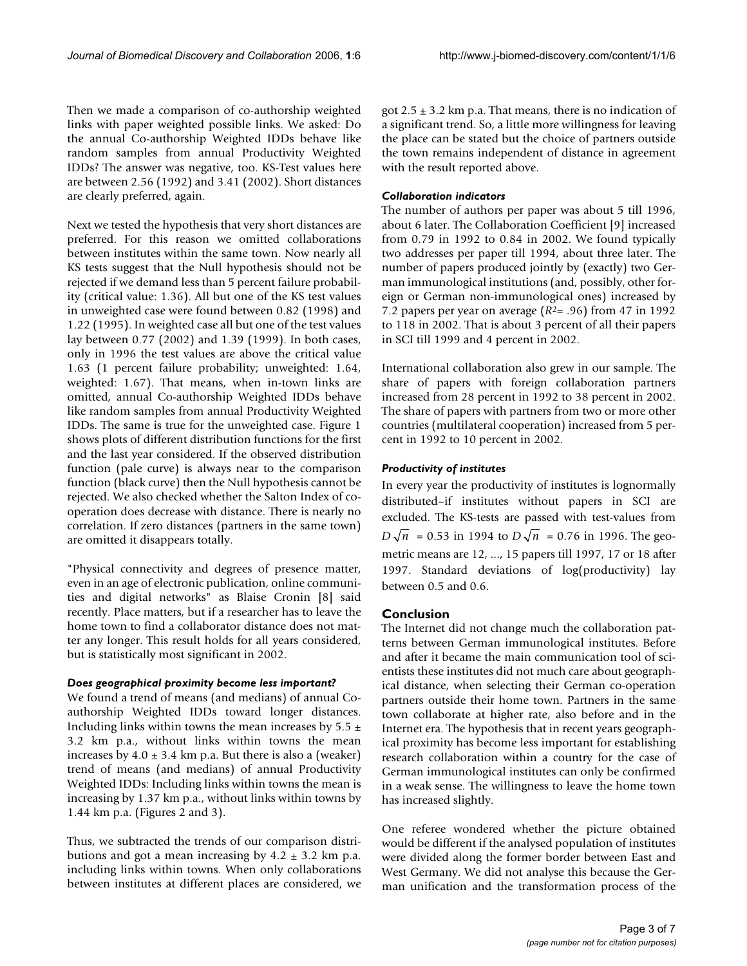Then we made a comparison of co-authorship weighted links with paper weighted possible links. We asked: Do the annual Co-authorship Weighted IDDs behave like random samples from annual Productivity Weighted IDDs? The answer was negative, too. KS-Test values here are between 2.56 (1992) and 3.41 (2002). Short distances are clearly preferred, again.

Next we tested the hypothesis that very short distances are preferred. For this reason we omitted collaborations between institutes within the same town. Now nearly all KS tests suggest that the Null hypothesis should not be rejected if we demand less than 5 percent failure probability (critical value: 1.36). All but one of the KS test values in unweighted case were found between 0.82 (1998) and 1.22 (1995). In weighted case all but one of the test values lay between 0.77 (2002) and 1.39 (1999). In both cases, only in 1996 the test values are above the critical value 1.63 (1 percent failure probability; unweighted: 1.64, weighted: 1.67). That means, when in-town links are omitted, annual Co-authorship Weighted IDDs behave like random samples from annual Productivity Weighted IDDs. The same is true for the unweighted case. Figure 1 shows plots of different distribution functions for the first and the last year considered. If the observed distribution function (pale curve) is always near to the comparison function (black curve) then the Null hypothesis cannot be rejected. We also checked whether the Salton Index of cooperation does decrease with distance. There is nearly no correlation. If zero distances (partners in the same town) are omitted it disappears totally.

"Physical connectivity and degrees of presence matter, even in an age of electronic publication, online communities and digital networks" as Blaise Cronin [8] said recently. Place matters, but if a researcher has to leave the home town to find a collaborator distance does not matter any longer. This result holds for all years considered, but is statistically most significant in 2002.

#### *Does geographical proximity become less important?*

We found a trend of means (and medians) of annual Coauthorship Weighted IDDs toward longer distances. Including links within towns the mean increases by  $5.5 \pm$ 3.2 km p.a., without links within towns the mean increases by  $4.0 \pm 3.4$  km p.a. But there is also a (weaker) trend of means (and medians) of annual Productivity Weighted IDDs: Including links within towns the mean is increasing by 1.37 km p.a., without links within towns by 1.44 km p.a. (Figures 2 and 3).

Thus, we subtracted the trends of our comparison distributions and got a mean increasing by  $4.2 \pm 3.2$  km p.a. including links within towns. When only collaborations between institutes at different places are considered, we got  $2.5 \pm 3.2$  km p.a. That means, there is no indication of a significant trend. So, a little more willingness for leaving the place can be stated but the choice of partners outside the town remains independent of distance in agreement with the result reported above.

#### *Collaboration indicators*

The number of authors per paper was about 5 till 1996, about 6 later. The Collaboration Coefficient [9] increased from 0.79 in 1992 to 0.84 in 2002. We found typically two addresses per paper till 1994, about three later. The number of papers produced jointly by (exactly) two German immunological institutions (and, possibly, other foreign or German non-immunological ones) increased by 7.2 papers per year on average  $(R^2= .96)$  from 47 in 1992 to 118 in 2002. That is about 3 percent of all their papers in SCI till 1999 and 4 percent in 2002.

International collaboration also grew in our sample. The share of papers with foreign collaboration partners increased from 28 percent in 1992 to 38 percent in 2002. The share of papers with partners from two or more other countries (multilateral cooperation) increased from 5 percent in 1992 to 10 percent in 2002.

#### *Productivity of institutes*

In every year the productivity of institutes is lognormally distributed–if institutes without papers in SCI are excluded. The KS-tests are passed with test-values from  $D\sqrt{n}$  = 0.53 in 1994 to  $D\sqrt{n}$  = 0.76 in 1996. The geometric means are 12, ..., 15 papers till 1997, 17 or 18 after 1997. Standard deviations of log(productivity) lay between 0.5 and 0.6.

#### **Conclusion**

The Internet did not change much the collaboration patterns between German immunological institutes. Before and after it became the main communication tool of scientists these institutes did not much care about geographical distance, when selecting their German co-operation partners outside their home town. Partners in the same town collaborate at higher rate, also before and in the Internet era. The hypothesis that in recent years geographical proximity has become less important for establishing research collaboration within a country for the case of German immunological institutes can only be confirmed in a weak sense. The willingness to leave the home town has increased slightly.

One referee wondered whether the picture obtained would be different if the analysed population of institutes were divided along the former border between East and West Germany. We did not analyse this because the German unification and the transformation process of the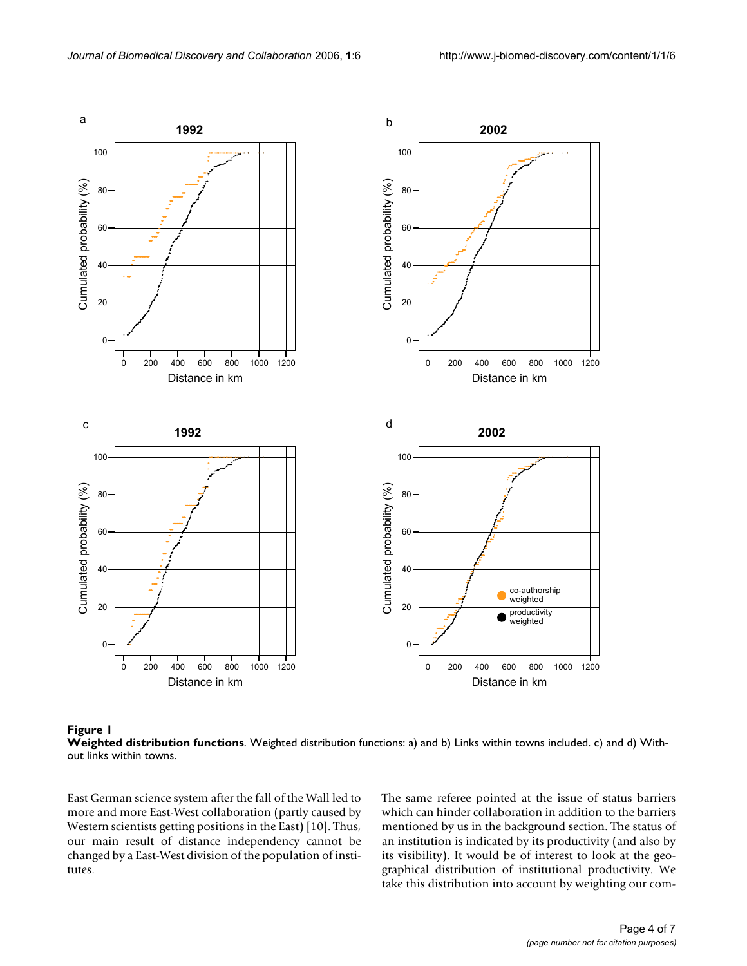



East German science system after the fall of the Wall led to more and more East-West collaboration (partly caused by Western scientists getting positions in the East) [10]. Thus, our main result of distance independency cannot be changed by a East-West division of the population of institutes.

The same referee pointed at the issue of status barriers which can hinder collaboration in addition to the barriers mentioned by us in the background section. The status of an institution is indicated by its productivity (and also by its visibility). It would be of interest to look at the geographical distribution of institutional productivity. We take this distribution into account by weighting our com-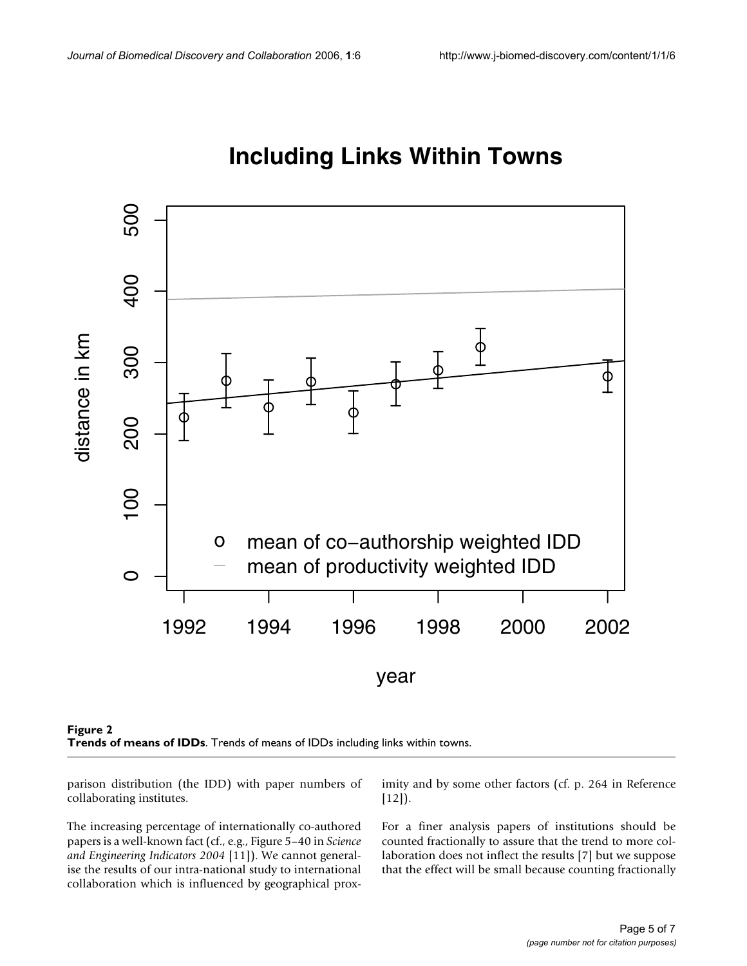

## **Including Links Within Towns**



parison distribution (the IDD) with paper numbers of collaborating institutes.

The increasing percentage of internationally co-authored papers is a well-known fact (cf., e.g., Figure 5–40 in *Science and Engineering Indicators 2004* [11]). We cannot generalise the results of our intra-national study to international collaboration which is influenced by geographical proximity and by some other factors (cf. p. 264 in Reference  $[12]$ ).

For a finer analysis papers of institutions should be counted fractionally to assure that the trend to more collaboration does not inflect the results [7] but we suppose that the effect will be small because counting fractionally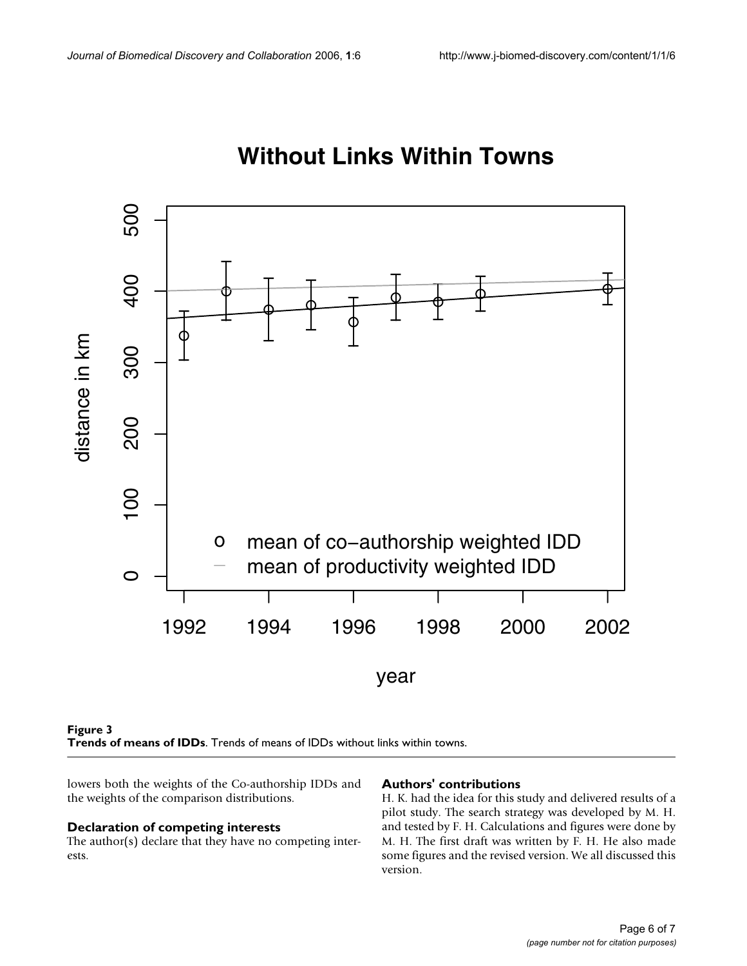

# **Without Links Within Towns**



lowers both the weights of the Co-authorship IDDs and the weights of the comparison distributions.

#### **Declaration of competing interests**

The author(s) declare that they have no competing interests.

#### **Authors' contributions**

H. K. had the idea for this study and delivered results of a pilot study. The search strategy was developed by M. H. and tested by F. H. Calculations and figures were done by M. H. The first draft was written by F. H. He also made some figures and the revised version. We all discussed this version.